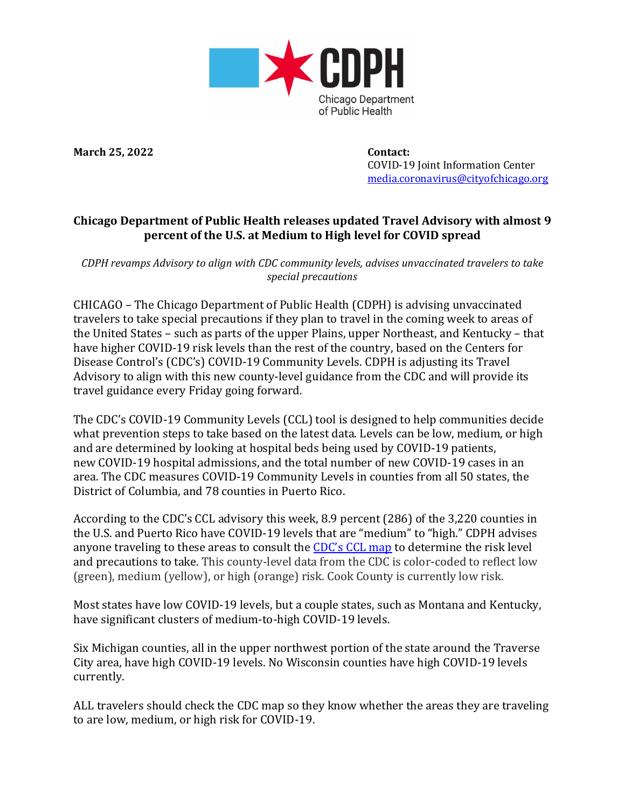

**March 25, 2022 Contact:**

 COVID-19 Joint Information Center [media.coronavirus@cityofchicago.org](mailto:media.coronavirus@cityofchicago.org)

## **Chicago Department of Public Health releases updated Travel Advisory with almost 9 percent of the U.S. at Medium to High level for COVID spread**

*CDPH revamps Advisory to align with CDC community levels, advises unvaccinated travelers to take special precautions*

CHICAGO – The Chicago Department of Public Health (CDPH) is advising unvaccinated travelers to take special precautions if they plan to travel in the coming week to areas of the United States – such as parts of the upper Plains, upper Northeast, and Kentucky – that have higher COVID-19 risk levels than the rest of the country, based on the Centers for Disease Control's (CDC's) COVID-19 Community Levels. CDPH is adjusting its Travel Advisory to align with this new county-level guidance from the CDC and will provide its travel guidance every Friday going forward.

The CDC's COVID-19 Community Levels (CCL) tool is designed to help communities decide what prevention steps to take based on the latest data. Levels can be low, medium, or high and are determined by looking at hospital beds being used by COVID-19 patients, new COVID-19 hospital admissions, and the total number of new COVID-19 cases in an area. The CDC measures COVID-19 Community Levels in counties from all 50 states, the District of Columbia, and 78 counties in Puerto Rico.

According to the CDC's CCL advisory this week, 8.9 percent (286) of the 3,220 counties in the U.S. and Puerto Rico have COVID-19 levels that are "medium" to "high." CDPH advises anyone traveling to these areas to consult the [CDC's](https://www.cdc.gov/coronavirus/2019-ncov/science/community-levels.html) CCL map to determine the risk level and precautions to take. This county-level data from the CDC is color-coded to reflect low (green), medium (yellow), or high (orange) risk. Cook County is currently low risk.

Most states have low COVID-19 levels, but a couple states, such as Montana and Kentucky, have significant clusters of medium-to-high COVID-19 levels.

Six Michigan counties, all in the upper northwest portion of the state around the Traverse City area, have high COVID-19 levels. No Wisconsin counties have high COVID-19 levels currently.

ALL travelers should check the CDC map so they know whether the areas they are traveling to are low, medium, or high risk for COVID-19.